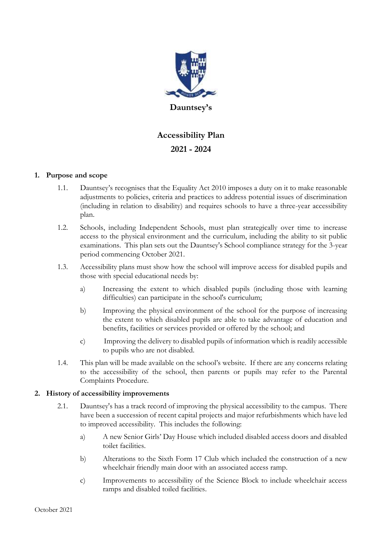

# **Accessibility Plan 2021 - 2024**

## **1. Purpose and scope**

- 1.1. Dauntsey's recognises that the Equality Act 2010 imposes a duty on it to make reasonable adjustments to policies, criteria and practices to address potential issues of discrimination (including in relation to disability) and requires schools to have a three-year accessibility plan.
- 1.2. Schools, including Independent Schools, must plan strategically over time to increase access to the physical environment and the curriculum, including the ability to sit public examinations. This plan sets out the Dauntsey's School compliance strategy for the 3-year period commencing October 2021.
- 1.3. Accessibility plans must show how the school will improve access for disabled pupils and those with special educational needs by:
	- a) Increasing the extent to which disabled pupils (including those with learning difficulties) can participate in the school's curriculum;
	- b) Improving the physical environment of the school for the purpose of increasing the extent to which disabled pupils are able to take advantage of education and benefits, facilities or services provided or offered by the school; and
	- c) Improving the delivery to disabled pupils of information which is readily accessible to pupils who are not disabled.
- 1.4. This plan will be made available on the school's website. If there are any concerns relating to the accessibility of the school, then parents or pupils may refer to the Parental Complaints Procedure.

#### **2. History of accessibility improvements**

- 2.1. Dauntsey's has a track record of improving the physical accessibility to the campus. There have been a succession of recent capital projects and major refurbishments which have led to improved accessibility. This includes the following:
	- a) A new Senior Girls' Day House which included disabled access doors and disabled toilet facilities.
	- b) Alterations to the Sixth Form 17 Club which included the construction of a new wheelchair friendly main door with an associated access ramp.
	- c) Improvements to accessibility of the Science Block to include wheelchair access ramps and disabled toiled facilities.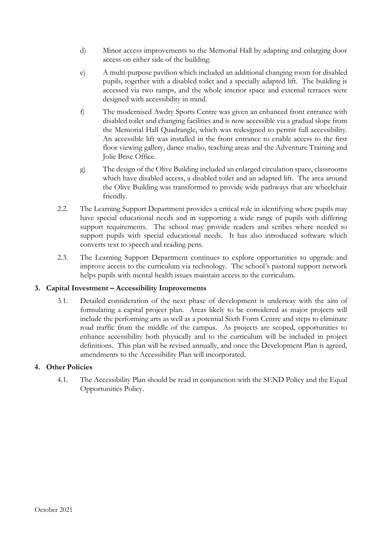- d) Minor access improvements to the Memorial Hall by adapting and enlarging door access on either side of the building.
- e) A multi-purpose pavilion which included an additional changing room for disabled pupils, together with a disabled toilet and a specially adapted lift. The building is accessed via two ramps, and the whole interior space and external terraces were designed with accessibility in mind.
- f) The modernised Awdry Sports Centre was given an enhanced front entrance with disabled toilet and changing facilities and is now accessible via a gradual slope from the Memorial Hall Quadrangle, which was redesigned to permit full accessibility. An accessible lift was installed in the front entrance to enable access to the first floor viewing gallery, dance studio, teaching areas and the Adventure Training and Jolie Brise Office.
- g) The design of the Olive Building included an enlarged circulation space, classrooms which have disabled access, a disabled toilet and an adapted lift. The area around the Olive Building was transformed to provide wide pathways that are wheelchair friendly.
- 2.2. The Learning Support Department provides a critical role in identifying where pupils may have special educational needs and in supporting a wide range of pupils with differing support requirements. The school may provide readers and scribes where needed to support pupils with special educational needs. It has also introduced software which converts text to speech and reading pens.
- 2.3. The Learning Support Department continues to explore opportunities to upgrade and improve access to the curriculum via technology. The school's pastoral support network helps pupils with mental health issues maintain access to the curriculum.

## **3. Capital Investment – Accessibility Improvements**

3.1. Detailed consideration of the next phase of development is underway with the aim of formulating a capital project plan. Areas likely to be considered as major projects will include the performing arts as well as a potential Sixth Form Centre and steps to eliminate road traffic from the middle of the campus. As projects are scoped, opportunities to enhance accessibility both physically and to the curriculum will be included in project definitions. This plan will be revised annually, and once the Development Plan is agreed, amendments to the Accessibility Plan will incorporated.

#### **4. Other Policies**

4.1. The Accessibility Plan should be read in conjunction with the SEND Policy and the Equal Opportunities Policy.